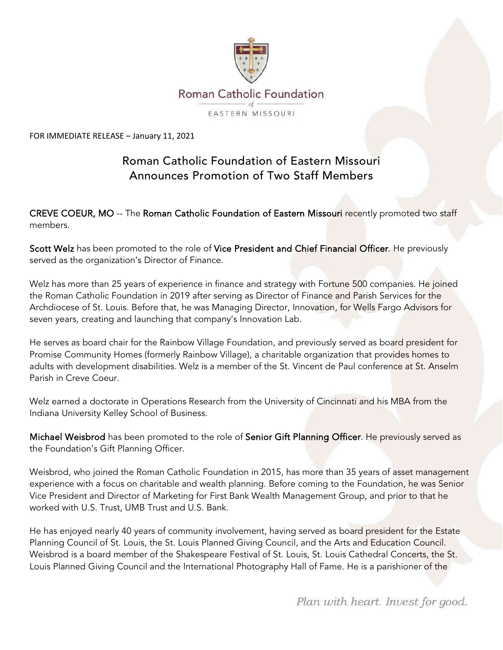

FOR IMMEDIATE RELEASE – January 11, 2021

## Roman Catholic Foundation of Eastern Missouri Announces Promotion of Two Staff Members

CREVE COEUR, MO -- The Roman Catholic Foundation of Eastern Missouri recently promoted two staff members.

Scott Welz has been promoted to the role of Vice President and Chief Financial Officer. He previously served as the organization's Director of Finance.

Welz has more than 25 years of experience in finance and strategy with Fortune 500 companies. He joined the Roman Catholic Foundation in 2019 after serving as Director of Finance and Parish Services for the Archdiocese of St. Louis. Before that, he was Managing Director, Innovation, for Wells Fargo Advisors for seven years, creating and launching that company's Innovation Lab.

He serves as board chair for the Rainbow Village Foundation, and previously served as board president for Promise Community Homes (formerly Rainbow Village), a charitable organization that provides homes to adults with development disabilities. Welz is a member of the St. Vincent de Paul conference at St. Anselm Parish in Creve Coeur.

Welz earned a doctorate in Operations Research from the University of Cincinnati and his MBA from the Indiana University Kelley School of Business.

Michael Weisbrod has been promoted to the role of Senior Gift Planning Officer. He previously served as the Foundation's Gift Planning Officer.

Weisbrod, who joined the Roman Catholic Foundation in 2015, has more than 35 years of asset management experience with a focus on charitable and wealth planning. Before coming to the Foundation, he was Senior Vice President and Director of Marketing for First Bank Wealth Management Group, and prior to that he worked with U.S. Trust, UMB Trust and U.S. Bank.

He has enjoyed nearly 40 years of community involvement, having served as board president for the Estate Planning Council of St. Louis, the St. Louis Planned Giving Council, and the Arts and Education Council. Weisbrod is a board member of the Shakespeare Festival of St. Louis, St. Louis Cathedral Concerts, the St. Louis Planned Giving Council and the International Photography Hall of Fame. He is a parishioner of the

Plan with heart. Invest for good.